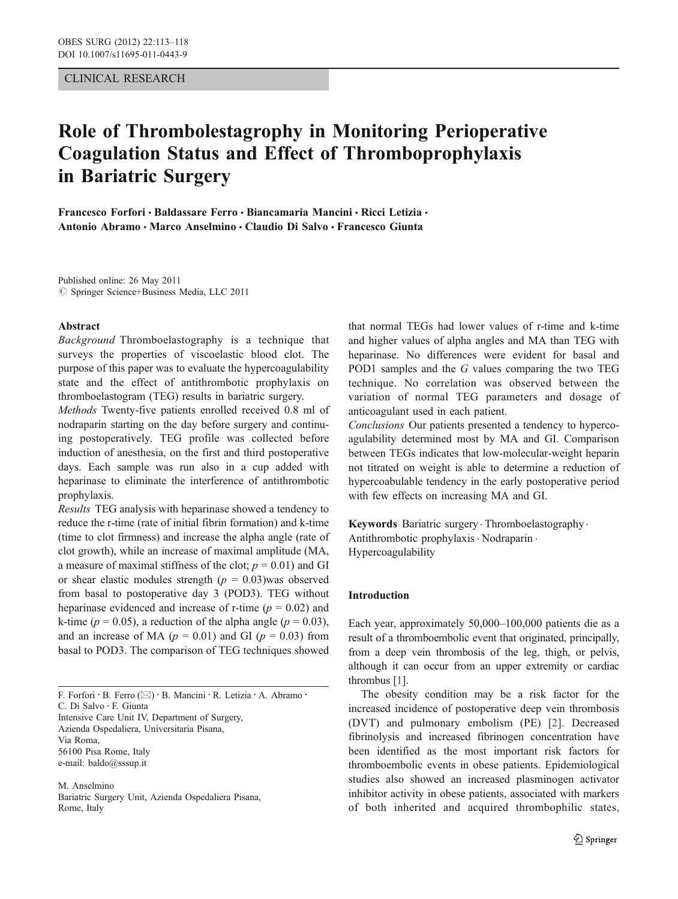## CLINICAL RESEARCH

# Role of Thrombolestagrophy in Monitoring Perioperative Coagulation Status and Effect of Thromboprophylaxis in Bariatric Surgery

Francesco Forfori · Baldassare Ferro · Biancamaria Mancini · Ricci Letizia · Antonio Abramo · Marco Anselmino · Claudio Di Salvo · Francesco Giunta

Published online: 26 May 2011  $©$  Springer Science+Business Media, LLC 2011

#### Abstract

Background Thromboelastography is a technique that surveys the properties of viscoelastic blood clot. The purpose of this paper was to evaluate the hypercoagulability state and the effect of antithrombotic prophylaxis on thromboelastogram (TEG) results in bariatric surgery.

Methods Twenty-five patients enrolled received 0.8 ml of nodraparin starting on the day before surgery and continuing postoperatively. TEG profile was collected before induction of anesthesia, on the first and third postoperative days. Each sample was run also in a cup added with heparinase to eliminate the interference of antithrombotic prophylaxis.

Results TEG analysis with heparinase showed a tendency to reduce the r-time (rate of initial fibrin formation) and k-time (time to clot firmness) and increase the alpha angle (rate of clot growth), while an increase of maximal amplitude (MA, a measure of maximal stiffness of the clot;  $p = 0.01$ ) and GI or shear elastic modules strength  $(p = 0.03)$ was observed from basal to postoperative day 3 (POD3). TEG without heparinase evidenced and increase of r-time ( $p = 0.02$ ) and k-time ( $p = 0.05$ ), a reduction of the alpha angle ( $p = 0.03$ ), and an increase of MA ( $p = 0.01$ ) and GI ( $p = 0.03$ ) from basal to POD3. The comparison of TEG techniques showed

F. Forfori · B. Ferro  $(\boxtimes)$  · B. Mancini · R. Letizia · A. Abramo · C. Di Salvo : F. Giunta Intensive Care Unit IV, Department of Surgery, Azienda Ospedaliera, Universitaria Pisana, Via Roma, 56100 Pisa Rome, Italy e-mail: baldo@sssup.it

M. Anselmino Bariatric Surgery Unit, Azienda Ospedaliera Pisana, Rome, Italy

that normal TEGs had lower values of r-time and k-time and higher values of alpha angles and MA than TEG with heparinase. No differences were evident for basal and POD1 samples and the G values comparing the two TEG technique. No correlation was observed between the variation of normal TEG parameters and dosage of anticoagulant used in each patient.

Conclusions Our patients presented a tendency to hypercoagulability determined most by MA and GI. Comparison between TEGs indicates that low-molecular-weight heparin not titrated on weight is able to determine a reduction of hypercoabulable tendency in the early postoperative period with few effects on increasing MA and GI.

Keywords Bariatric surgery. Thromboelastography. Antithrombotic prophylaxis. Nodraparin . Hypercoagulability

#### Introduction

Each year, approximately 50,000–100,000 patients die as a result of a thromboembolic event that originated, principally, from a deep vein thrombosis of the leg, thigh, or pelvis, although it can occur from an upper extremity or cardiac thrombus [[1](#page-5-0)].

The obesity condition may be a risk factor for the increased incidence of postoperative deep vein thrombosis (DVT) and pulmonary embolism (PE) [\[2](#page-5-0)]. Decreased fibrinolysis and increased fibrinogen concentration have been identified as the most important risk factors for thromboembolic events in obese patients. Epidemiological studies also showed an increased plasminogen activator inhibitor activity in obese patients, associated with markers of both inherited and acquired thrombophilic states,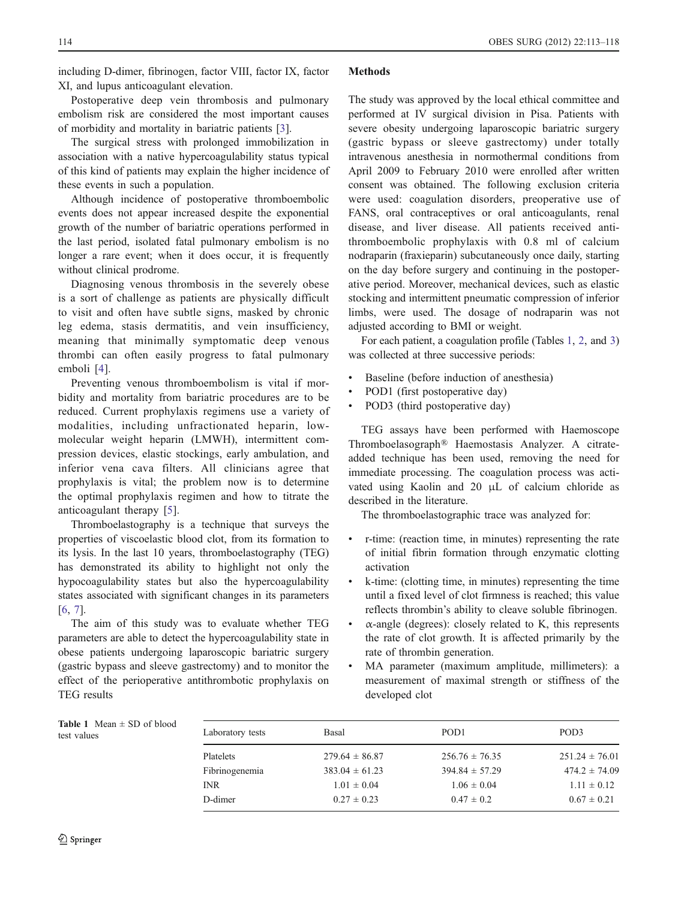<span id="page-1-0"></span>including D-dimer, fibrinogen, factor VIII, factor IX, factor XI, and lupus anticoagulant elevation.

Postoperative deep vein thrombosis and pulmonary embolism risk are considered the most important causes of morbidity and mortality in bariatric patients [[3\]](#page-5-0).

The surgical stress with prolonged immobilization in association with a native hypercoagulability status typical of this kind of patients may explain the higher incidence of these events in such a population.

Although incidence of postoperative thromboembolic events does not appear increased despite the exponential growth of the number of bariatric operations performed in the last period, isolated fatal pulmonary embolism is no longer a rare event; when it does occur, it is frequently without clinical prodrome.

Diagnosing venous thrombosis in the severely obese is a sort of challenge as patients are physically difficult to visit and often have subtle signs, masked by chronic leg edema, stasis dermatitis, and vein insufficiency, meaning that minimally symptomatic deep venous thrombi can often easily progress to fatal pulmonary emboli [[4\]](#page-5-0).

Preventing venous thromboembolism is vital if morbidity and mortality from bariatric procedures are to be reduced. Current prophylaxis regimens use a variety of modalities, including unfractionated heparin, lowmolecular weight heparin (LMWH), intermittent compression devices, elastic stockings, early ambulation, and inferior vena cava filters. All clinicians agree that prophylaxis is vital; the problem now is to determine the optimal prophylaxis regimen and how to titrate the anticoagulant therapy [[5](#page-5-0)].

Thromboelastography is a technique that surveys the properties of viscoelastic blood clot, from its formation to its lysis. In the last 10 years, thromboelastography (TEG) has demonstrated its ability to highlight not only the hypocoagulability states but also the hypercoagulability states associated with significant changes in its parameters [\[6](#page-5-0), [7](#page-5-0)].

The aim of this study was to evaluate whether TEG parameters are able to detect the hypercoagulability state in obese patients undergoing laparoscopic bariatric surgery (gastric bypass and sleeve gastrectomy) and to monitor the effect of the perioperative antithrombotic prophylaxis on TEG results

## **Methods**

The study was approved by the local ethical committee and performed at IV surgical division in Pisa. Patients with severe obesity undergoing laparoscopic bariatric surgery (gastric bypass or sleeve gastrectomy) under totally intravenous anesthesia in normothermal conditions from April 2009 to February 2010 were enrolled after written consent was obtained. The following exclusion criteria were used: coagulation disorders, preoperative use of FANS, oral contraceptives or oral anticoagulants, renal disease, and liver disease. All patients received antithromboembolic prophylaxis with 0.8 ml of calcium nodraparin (fraxieparin) subcutaneously once daily, starting on the day before surgery and continuing in the postoperative period. Moreover, mechanical devices, such as elastic stocking and intermittent pneumatic compression of inferior limbs, were used. The dosage of nodraparin was not adjusted according to BMI or weight.

For each patient, a coagulation profile (Tables 1, [2](#page-2-0), and [3](#page-2-0)) was collected at three successive periods:

- & Baseline (before induction of anesthesia)
- POD1 (first postoperative day)
- POD3 (third postoperative day)

TEG assays have been performed with Haemoscope Thromboelasograph® Haemostasis Analyzer. A citrateadded technique has been used, removing the need for immediate processing. The coagulation process was activated using Kaolin and 20 μL of calcium chloride as described in the literature.

The thromboelastographic trace was analyzed for:

- r-time: (reaction time, in minutes) representing the rate of initial fibrin formation through enzymatic clotting activation
- & k-time: (clotting time, in minutes) representing the time until a fixed level of clot firmness is reached; this value reflects thrombin's ability to cleave soluble fibrinogen.
- $\alpha$ -angle (degrees): closely related to K, this represents the rate of clot growth. It is affected primarily by the rate of thrombin generation.
- & MA parameter (maximum amplitude, millimeters): a measurement of maximal strength or stiffness of the developed clot

Table 1 Mean  $\pm$  SD of blood test values

| Laboratory tests | Basal              | POD <sub>1</sub>   | POD <sub>3</sub>   |
|------------------|--------------------|--------------------|--------------------|
| Platelets        | $279.64 \pm 86.87$ | $256.76 \pm 76.35$ | $251.24 \pm 76.01$ |
| Fibrinogenemia   | $383.04 \pm 61.23$ | $394.84 \pm 57.29$ | $474.2 \pm 74.09$  |
| INR              | $1.01 \pm 0.04$    | $1.06 \pm 0.04$    | $1.11 \pm 0.12$    |
| D-dimer          | $0.27 \pm 0.23$    | $0.47 \pm 0.2$     | $0.67 \pm 0.21$    |
|                  |                    |                    |                    |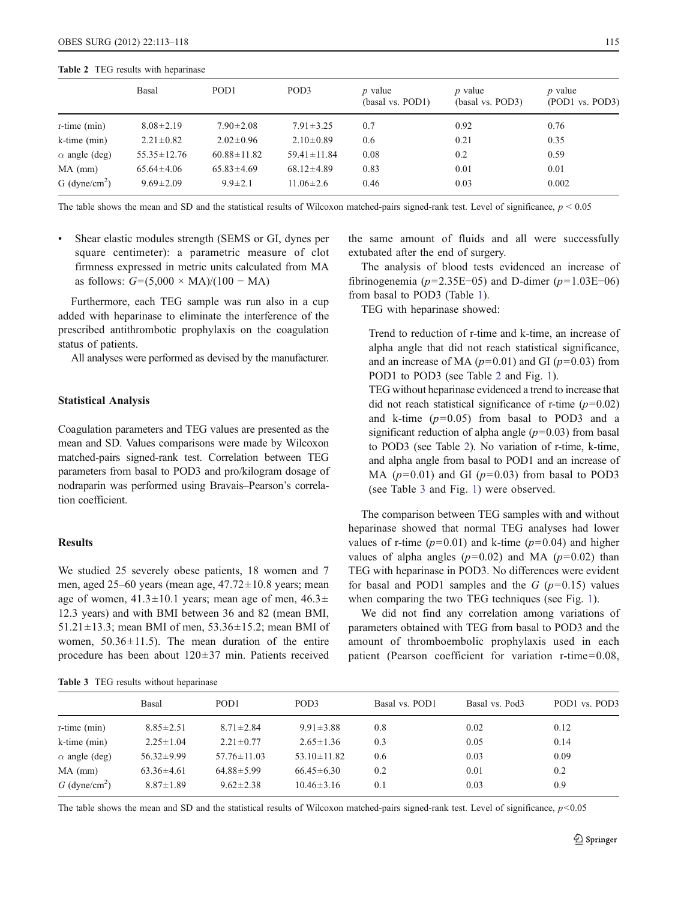#### <span id="page-2-0"></span>Table 2 TEG results with heparinase

|                           | Basal             | POD <sub>1</sub>  | POD <sub>3</sub>  | $p$ value<br>(basal vs. POD1) | <i>p</i> value<br>(basal vs. POD3) | $p$ value<br>(POD1 vs. POD3) |
|---------------------------|-------------------|-------------------|-------------------|-------------------------------|------------------------------------|------------------------------|
| $r$ -time $(min)$         | $8.08 \pm 2.19$   | $7.90 \pm 2.08$   | $7.91 \pm 3.25$   | 0.7                           | 0.92                               | 0.76                         |
| $k-time (min)$            | $2.21 \pm 0.82$   | $2.02 \pm 0.96$   | $2.10\pm0.89$     | 0.6                           | 0.21                               | 0.35                         |
| $\alpha$ angle (deg)      | $55.35 \pm 12.76$ | $60.88 \pm 11.82$ | $59.41 \pm 11.84$ | 0.08                          | 0.2                                | 0.59                         |
| $MA$ (mm)                 | $65.64 \pm 4.06$  | $65.83 \pm 4.69$  | $68.12 \pm 4.89$  | 0.83                          | 0.01                               | 0.01                         |
| G (dyne/cm <sup>2</sup> ) | $9.69 \pm 2.09$   | $9.9 \pm 2.1$     | $11.06 \pm 2.6$   | 0.46                          | 0.03                               | 0.002                        |

The table shows the mean and SD and the statistical results of Wilcoxon matched-pairs signed-rank test. Level of significance,  $p \le 0.05$ 

& Shear elastic modules strength (SEMS or GI, dynes per square centimeter): a parametric measure of clot firmness expressed in metric units calculated from MA as follows:  $G = (5,000 \times MA)/(100 - MA)$ 

Furthermore, each TEG sample was run also in a cup added with heparinase to eliminate the interference of the prescribed antithrombotic prophylaxis on the coagulation status of patients.

All analyses were performed as devised by the manufacturer.

## Statistical Analysis

Coagulation parameters and TEG values are presented as the mean and SD. Values comparisons were made by Wilcoxon matched-pairs signed-rank test. Correlation between TEG parameters from basal to POD3 and pro/kilogram dosage of nodraparin was performed using Bravais–Pearson's correlation coefficient.

## Results

We studied 25 severely obese patients, 18 women and 7 men, aged 25–60 years (mean age,  $47.72 \pm 10.8$  years; mean age of women,  $41.3 \pm 10.1$  years; mean age of men,  $46.3 \pm$ 12.3 years) and with BMI between 36 and 82 (mean BMI, 51.21 $\pm$ 13.3; mean BMI of men, 53.36 $\pm$ 15.2; mean BMI of women,  $50.36 \pm 11.5$ ). The mean duration of the entire procedure has been about 120±37 min. Patients received

Table 3 TEG results without heparinase

the same amount of fluids and all were successfully extubated after the end of surgery.

The analysis of blood tests evidenced an increase of fibrinogenemia ( $p=2.35E-05$ ) and D-dimer ( $p=1.03E-06$ ) from basal to POD3 (Table [1\)](#page-1-0).

TEG with heparinase showed:

Trend to reduction of r-time and k-time, an increase of alpha angle that did not reach statistical significance, and an increase of MA ( $p=0.01$ ) and GI ( $p=0.03$ ) from POD1 to POD3 (see Table 2 and Fig. [1](#page-3-0)).

TEG without heparinase evidenced a trend to increase that did not reach statistical significance of r-time  $(p=0.02)$ and k-time  $(p=0.05)$  from basal to POD3 and a significant reduction of alpha angle  $(p=0.03)$  from basal to POD3 (see Table 2). No variation of r-time, k-time, and alpha angle from basal to POD1 and an increase of MA ( $p=0.01$ ) and GI ( $p=0.03$ ) from basal to POD3 (see Table 3 and Fig. [1\)](#page-3-0) were observed.

The comparison between TEG samples with and without heparinase showed that normal TEG analyses had lower values of r-time ( $p=0.01$ ) and k-time ( $p=0.04$ ) and higher values of alpha angles  $(p=0.02)$  and MA  $(p=0.02)$  than TEG with heparinase in POD3. No differences were evident for basal and POD1 samples and the  $G$  ( $p=0.15$ ) values when comparing the two TEG techniques (see Fig. [1](#page-3-0)).

We did not find any correlation among variations of parameters obtained with TEG from basal to POD3 and the amount of thromboembolic prophylaxis used in each patient (Pearson coefficient for variation r-time=0.08,

|                             | Basal            | POD <sub>1</sub>  | POD <sub>3</sub>  | Basal vs. POD1 | Basal vs. Pod3 | POD1 vs. POD3 |
|-----------------------------|------------------|-------------------|-------------------|----------------|----------------|---------------|
| $r-time (min)$              | $8.85 \pm 2.51$  | $8.71 \pm 2.84$   | $9.91 \pm 3.88$   | 0.8            | 0.02           | 0.12          |
| $k$ -time $(min)$           | $2.25 \pm 1.04$  | $2.21 \pm 0.77$   | $2.65 \pm 1.36$   | 0.3            | 0.05           | 0.14          |
| $\alpha$ angle (deg)        | $56.32 \pm 9.99$ | $57.76 \pm 11.03$ | $53.10 \pm 11.82$ | 0.6            | 0.03           | 0.09          |
| $MA$ (mm)                   | $63.36 \pm 4.61$ | $64.88 \pm 5.99$  | $66.45 \pm 6.30$  | 0.2            | 0.01           | 0.2           |
| $G$ (dyne/cm <sup>2</sup> ) | $8.87 \pm 1.89$  | $9.62 \pm 2.38$   | $10.46 \pm 3.16$  | 0.1            | 0.03           | 0.9           |

The table shows the mean and SD and the statistical results of Wilcoxon matched-pairs signed-rank test. Level of significance,  $p<0.05$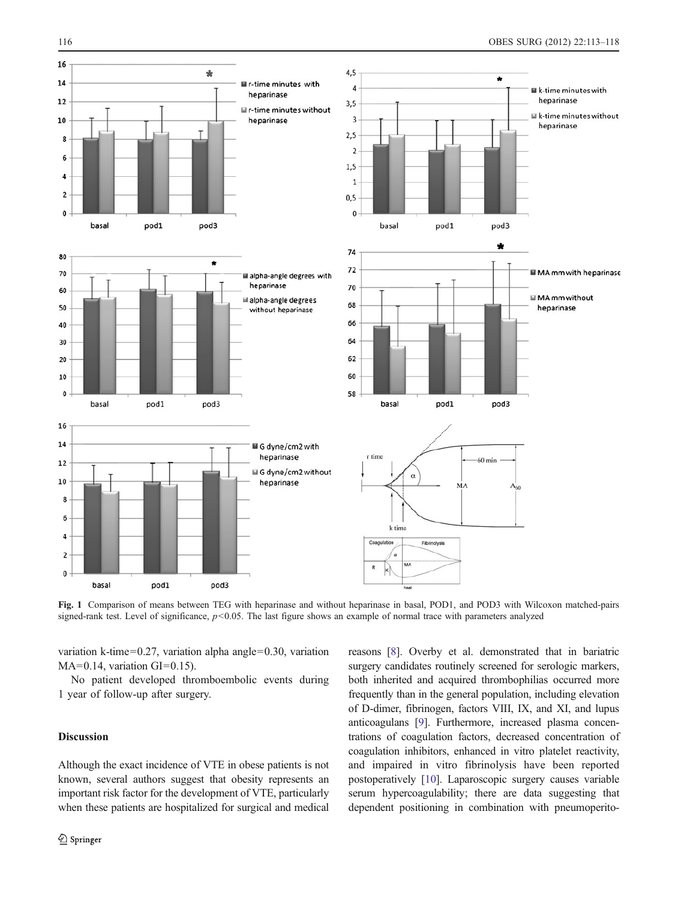<span id="page-3-0"></span>

Fig. 1 Comparison of means between TEG with heparinase and without heparinase in basal, POD1, and POD3 with Wilcoxon matched-pairs signed-rank test. Level of significance,  $p < 0.05$ . The last figure shows an example of normal trace with parameters analyzed

variation k-time=0.27, variation alpha angle=0.30, variation  $MA=0.14$ , variation  $GI=0.15$ ).

No patient developed thromboembolic events during 1 year of follow-up after surgery.

# Discussion

Although the exact incidence of VTE in obese patients is not known, several authors suggest that obesity represents an important risk factor for the development of VTE, particularly when these patients are hospitalized for surgical and medical reasons [\[8](#page-5-0)]. Overby et al. demonstrated that in bariatric surgery candidates routinely screened for serologic markers, both inherited and acquired thrombophilias occurred more frequently than in the general population, including elevation of D-dimer, fibrinogen, factors VIII, IX, and XI, and lupus anticoagulans [[9\]](#page-5-0). Furthermore, increased plasma concentrations of coagulation factors, decreased concentration of coagulation inhibitors, enhanced in vitro platelet reactivity, and impaired in vitro fibrinolysis have been reported postoperatively [\[10](#page-5-0)]. Laparoscopic surgery causes variable serum hypercoagulability; there are data suggesting that dependent positioning in combination with pneumoperito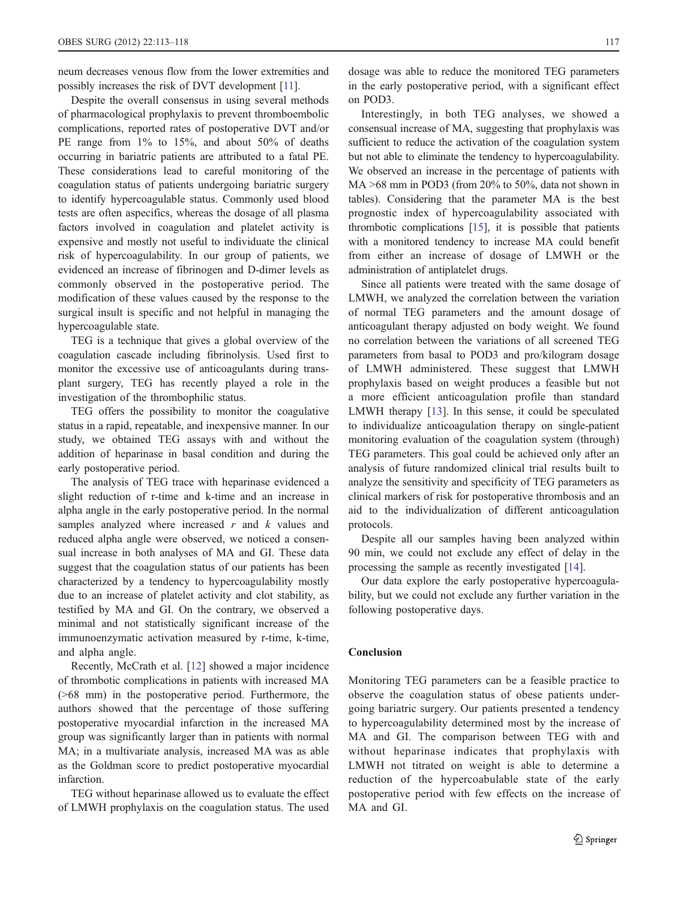neum decreases venous flow from the lower extremities and possibly increases the risk of DVT development [[11](#page-5-0)].

Despite the overall consensus in using several methods of pharmacological prophylaxis to prevent thromboembolic complications, reported rates of postoperative DVT and/or PE range from 1% to 15%, and about 50% of deaths occurring in bariatric patients are attributed to a fatal PE. These considerations lead to careful monitoring of the coagulation status of patients undergoing bariatric surgery to identify hypercoagulable status. Commonly used blood tests are often aspecifics, whereas the dosage of all plasma factors involved in coagulation and platelet activity is expensive and mostly not useful to individuate the clinical risk of hypercoagulability. In our group of patients, we evidenced an increase of fibrinogen and D-dimer levels as commonly observed in the postoperative period. The modification of these values caused by the response to the surgical insult is specific and not helpful in managing the hypercoagulable state.

TEG is a technique that gives a global overview of the coagulation cascade including fibrinolysis. Used first to monitor the excessive use of anticoagulants during transplant surgery, TEG has recently played a role in the investigation of the thrombophilic status.

TEG offers the possibility to monitor the coagulative status in a rapid, repeatable, and inexpensive manner. In our study, we obtained TEG assays with and without the addition of heparinase in basal condition and during the early postoperative period.

The analysis of TEG trace with heparinase evidenced a slight reduction of r-time and k-time and an increase in alpha angle in the early postoperative period. In the normal samples analyzed where increased  $r$  and  $k$  values and reduced alpha angle were observed, we noticed a consensual increase in both analyses of MA and GI. These data suggest that the coagulation status of our patients has been characterized by a tendency to hypercoagulability mostly due to an increase of platelet activity and clot stability, as testified by MA and GI. On the contrary, we observed a minimal and not statistically significant increase of the immunoenzymatic activation measured by r-time, k-time, and alpha angle.

Recently, McCrath et al. [\[12](#page-5-0)] showed a major incidence of thrombotic complications in patients with increased MA (>68 mm) in the postoperative period. Furthermore, the authors showed that the percentage of those suffering postoperative myocardial infarction in the increased MA group was significantly larger than in patients with normal MA; in a multivariate analysis, increased MA was as able as the Goldman score to predict postoperative myocardial infarction.

TEG without heparinase allowed us to evaluate the effect of LMWH prophylaxis on the coagulation status. The used dosage was able to reduce the monitored TEG parameters in the early postoperative period, with a significant effect on POD3.

Interestingly, in both TEG analyses, we showed a consensual increase of MA, suggesting that prophylaxis was sufficient to reduce the activation of the coagulation system but not able to eliminate the tendency to hypercoagulability. We observed an increase in the percentage of patients with MA >68 mm in POD3 (from 20% to 50%, data not shown in tables). Considering that the parameter MA is the best prognostic index of hypercoagulability associated with thrombotic complications [\[15\]](#page-5-0), it is possible that patients with a monitored tendency to increase MA could benefit from either an increase of dosage of LMWH or the administration of antiplatelet drugs.

Since all patients were treated with the same dosage of LMWH, we analyzed the correlation between the variation of normal TEG parameters and the amount dosage of anticoagulant therapy adjusted on body weight. We found no correlation between the variations of all screened TEG parameters from basal to POD3 and pro/kilogram dosage of LMWH administered. These suggest that LMWH prophylaxis based on weight produces a feasible but not a more efficient anticoagulation profile than standard LMWH therapy [[13\]](#page-5-0). In this sense, it could be speculated to individualize anticoagulation therapy on single-patient monitoring evaluation of the coagulation system (through) TEG parameters. This goal could be achieved only after an analysis of future randomized clinical trial results built to analyze the sensitivity and specificity of TEG parameters as clinical markers of risk for postoperative thrombosis and an aid to the individualization of different anticoagulation protocols.

Despite all our samples having been analyzed within 90 min, we could not exclude any effect of delay in the processing the sample as recently investigated [\[14](#page-5-0)].

Our data explore the early postoperative hypercoagulability, but we could not exclude any further variation in the following postoperative days.

#### Conclusion

Monitoring TEG parameters can be a feasible practice to observe the coagulation status of obese patients undergoing bariatric surgery. Our patients presented a tendency to hypercoagulability determined most by the increase of MA and GI. The comparison between TEG with and without heparinase indicates that prophylaxis with LMWH not titrated on weight is able to determine a reduction of the hypercoabulable state of the early postoperative period with few effects on the increase of MA and GI.